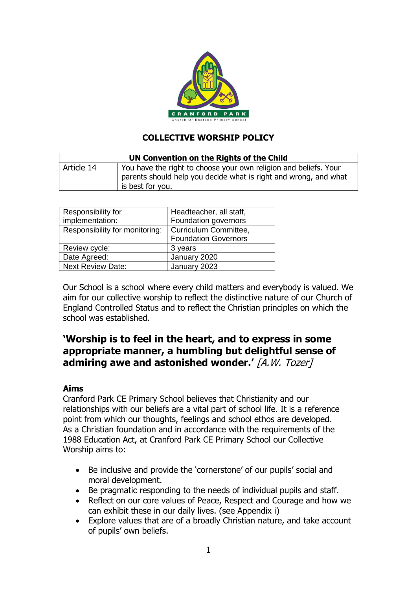

## **COLLECTIVE WORSHIP POLICY**

| UN Convention on the Rights of the Child |                                                                                                                                                          |
|------------------------------------------|----------------------------------------------------------------------------------------------------------------------------------------------------------|
| Article 14                               | You have the right to choose your own religion and beliefs. Your<br>parents should help you decide what is right and wrong, and what<br>is best for you. |

| Headteacher, all staff,     |
|-----------------------------|
| Foundation governors        |
| Curriculum Committee,       |
| <b>Foundation Governors</b> |
| 3 years                     |
| January 2020                |
| January 2023                |
|                             |

Our School is a school where every child matters and everybody is valued. We aim for our collective worship to reflect the distinctive nature of our Church of England Controlled Status and to reflect the Christian principles on which the school was established.

# **'Worship is to feel in the heart, and to express in some appropriate manner, a humbling but delightful sense of admiring awe and astonished wonder.'** [A.W. Tozer]

## **Aims**

Cranford Park CE Primary School believes that Christianity and our relationships with our beliefs are a vital part of school life. It is a reference point from which our thoughts, feelings and school ethos are developed. As a Christian foundation and in accordance with the requirements of the 1988 Education Act, at Cranford Park CE Primary School our Collective Worship aims to:

- Be inclusive and provide the 'cornerstone' of our pupils' social and moral development.
- Be pragmatic responding to the needs of individual pupils and staff.
- Reflect on our core values of Peace, Respect and Courage and how we can exhibit these in our daily lives. (see Appendix i)
- Explore values that are of a broadly Christian nature, and take account of pupils' own beliefs.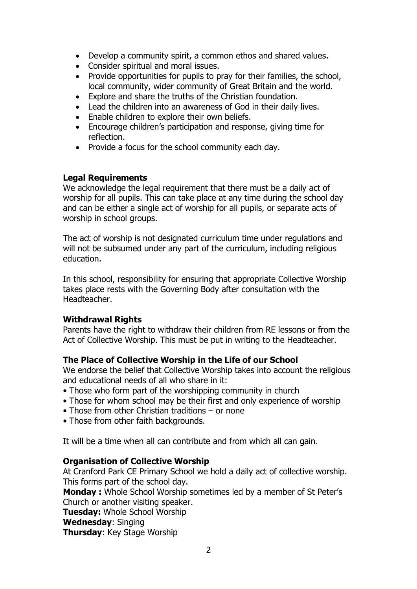- Develop a community spirit, a common ethos and shared values.
- Consider spiritual and moral issues.
- Provide opportunities for pupils to pray for their families, the school, local community, wider community of Great Britain and the world.
- Explore and share the truths of the Christian foundation.
- Lead the children into an awareness of God in their daily lives.
- Enable children to explore their own beliefs.
- Encourage children's participation and response, giving time for reflection.
- Provide a focus for the school community each day.

## **Legal Requirements**

We acknowledge the legal requirement that there must be a daily act of worship for all pupils. This can take place at any time during the school day and can be either a single act of worship for all pupils, or separate acts of worship in school groups.

The act of worship is not designated curriculum time under regulations and will not be subsumed under any part of the curriculum, including religious education.

In this school, responsibility for ensuring that appropriate Collective Worship takes place rests with the Governing Body after consultation with the Headteacher.

#### **Withdrawal Rights**

Parents have the right to withdraw their children from RE lessons or from the Act of Collective Worship. This must be put in writing to the Headteacher.

## **The Place of Collective Worship in the Life of our School**

We endorse the belief that Collective Worship takes into account the religious and educational needs of all who share in it:

- Those who form part of the worshipping community in church
- Those for whom school may be their first and only experience of worship
- Those from other Christian traditions or none
- Those from other faith backgrounds.

It will be a time when all can contribute and from which all can gain.

#### **Organisation of Collective Worship**

At Cranford Park CE Primary School we hold a daily act of collective worship. This forms part of the school day.

**Monday :** Whole School Worship sometimes led by a member of St Peter's Church or another visiting speaker.

**Tuesday:** Whole School Worship

**Wednesday**: Singing

**Thursday**: Key Stage Worship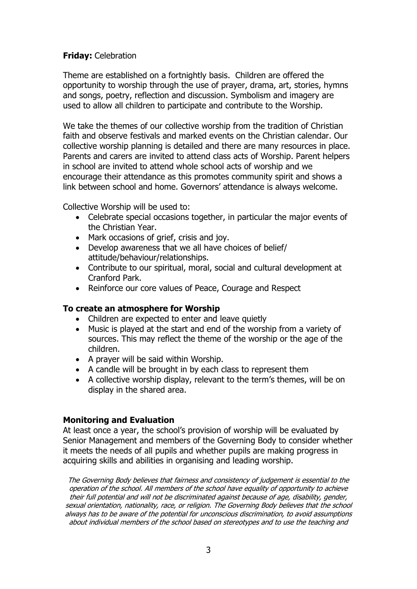## **Friday:** Celebration

Theme are established on a fortnightly basis. Children are offered the opportunity to worship through the use of prayer, drama, art, stories, hymns and songs, poetry, reflection and discussion. Symbolism and imagery are used to allow all children to participate and contribute to the Worship.

We take the themes of our collective worship from the tradition of Christian faith and observe festivals and marked events on the Christian calendar. Our collective worship planning is detailed and there are many resources in place. Parents and carers are invited to attend class acts of Worship. Parent helpers in school are invited to attend whole school acts of worship and we encourage their attendance as this promotes community spirit and shows a link between school and home. Governors' attendance is always welcome.

Collective Worship will be used to:

- Celebrate special occasions together, in particular the major events of the Christian Year.
- Mark occasions of grief, crisis and joy.
- Develop awareness that we all have choices of belief/ attitude/behaviour/relationships.
- Contribute to our spiritual, moral, social and cultural development at Cranford Park.
- Reinforce our core values of Peace, Courage and Respect

#### **To create an atmosphere for Worship**

- Children are expected to enter and leave quietly
- Music is played at the start and end of the worship from a variety of sources. This may reflect the theme of the worship or the age of the children.
- A prayer will be said within Worship.
- A candle will be brought in by each class to represent them
- A collective worship display, relevant to the term's themes, will be on display in the shared area.

## **Monitoring and Evaluation**

At least once a year, the school's provision of worship will be evaluated by Senior Management and members of the Governing Body to consider whether it meets the needs of all pupils and whether pupils are making progress in acquiring skills and abilities in organising and leading worship.

The Governing Body believes that fairness and consistency of judgement is essential to the operation of the school. All members of the school have equality of opportunity to achieve their full potential and will not be discriminated against because of age, disability, gender, sexual orientation, nationality, race, or religion. The Governing Body believes that the school always has to be aware of the potential for unconscious discrimination, to avoid assumptions about individual members of the school based on stereotypes and to use the teaching and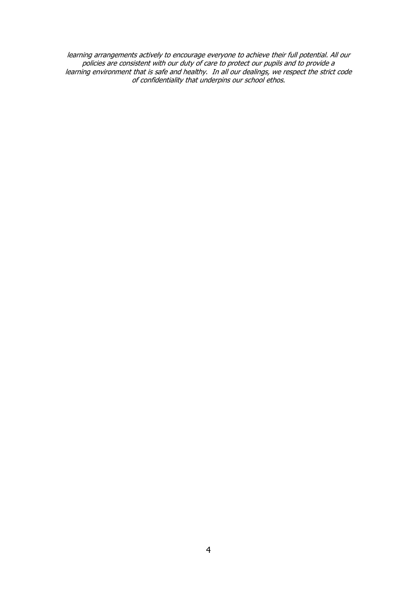learning arrangements actively to encourage everyone to achieve their full potential. All our policies are consistent with our duty of care to protect our pupils and to provide a learning environment that is safe and healthy. In all our dealings, we respect the strict code of confidentiality that underpins our school ethos.